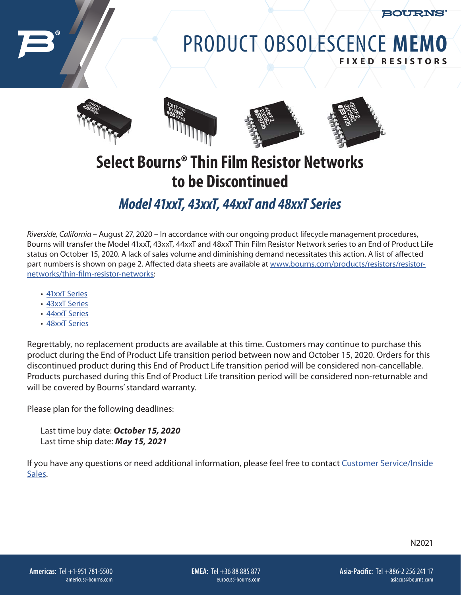BOURNS

## PRODUCT OBSOLESCENCE **MEMO FIXED RESISTORS**



## **Select Bourns® Thin Film Resistor Networks to be Discontinued**

## *Model 41xxT, 43xxT, 44xxT and 48xxT Series*

*Riverside, California* – August 27, 2020 – In accordance with our ongoing product lifecycle management procedures, Bourns will transfer the Model 41xxT, 43xxT, 44xxT and 48xxT Thin Film Resistor Network series to an End of Product Life status on October 15, 2020. A lack of sales volume and diminishing demand necessitates this action. A list of affected part numbers is shown on page 2. Affected data sheets are available at [www.bourns.com/products/resistors/resistor](http://www.bourns.com/products/resistors/resistor-networks/thin-film-resistor-networks)[networks/thin-film-resistor-networks](http://www.bourns.com/products/resistors/resistor-networks/thin-film-resistor-networks):

- [41xxT Series](https://www.bourns.com/docs/product-datasheets/4100t.pdf)
- [43xxT Series](https://www.bourns.com/docs/product-datasheets/4300tsk.pdf)
- [44xxT Series](https://www.bourns.com/docs/product-datasheets/4400t.pdf)
- [48xxT Series](https://www.bourns.com/docs/product-datasheets/4800t.pdf)

Regrettably, no replacement products are available at this time. Customers may continue to purchase this product during the End of Product Life transition period between now and October 15, 2020. Orders for this discontinued product during this End of Product Life transition period will be considered non-cancellable. Products purchased during this End of Product Life transition period will be considered non-returnable and will be covered by Bourns' standard warranty.

Please plan for the following deadlines:

Last time buy date: *October 15, 2020* Last time ship date: *May 15, 2021* 

If you have any questions or need additional information, please feel free to contact [Customer Service/Inside](https://www.bourns.com/support/contact)  [Sales](https://www.bourns.com/support/contact).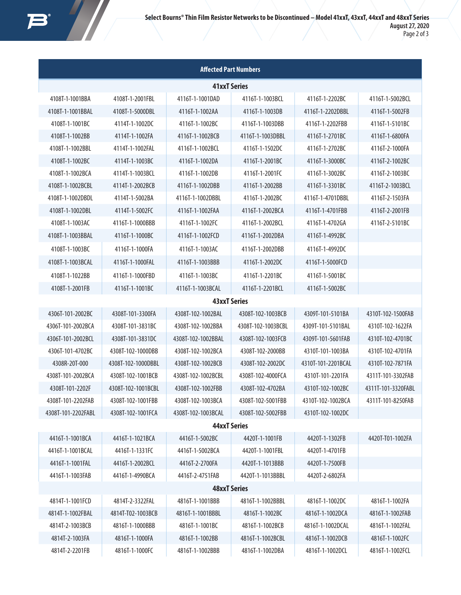| <b>Affected Part Numbers</b> |                    |                     |                    |                    |                    |  |  |  |  |
|------------------------------|--------------------|---------------------|--------------------|--------------------|--------------------|--|--|--|--|
| <b>41xxT Series</b>          |                    |                     |                    |                    |                    |  |  |  |  |
| 4108T-1-1001BBA              | 4108T-1-2001FBL    | 4116T-1-1001DAD     | 4116T-1-1003BCL    | 4116T-1-2202BC     | 4116T-1-5002BCL    |  |  |  |  |
| 4108T-1-1001BBAL             | 4108T-1-5000DBL    | 4116T-1-1002AA      | 4116T-1-1003DB     | 4116T-1-2202DBBL   | 4116T-1-5002FB     |  |  |  |  |
| 4108T-1-1001BC               | 4114T-1-1002DC     | 4116T-1-1002BC      | 4116T-1-1003DBB    | 4116T-1-2202FBB    | 4116T-1-5101BC     |  |  |  |  |
| 4108T-1-1002BB               | 4114T-1-1002FA     | 4116T-1-1002BCB     | 4116T-1-1003DBBL   | 4116T-1-2701BC     | 4116T-1-6800FA     |  |  |  |  |
| 4108T-1-1002BBL              | 4114T-1-1002FAL    | 4116T-1-1002BCL     | 4116T-1-1502DC     | 4116T-1-2702BC     | 4116T-2-1000FA     |  |  |  |  |
| 4108T-1-1002BC               | 4114T-1-1003BC     | 4116T-1-1002DA      | 4116T-1-2001BC     | 4116T-1-3000BC     | 4116T-2-1002BC     |  |  |  |  |
| 4108T-1-1002BCA              | 4114T-1-1003BCL    | 4116T-1-1002DB      | 4116T-1-2001FC     | 4116T-1-3002BC     | 4116T-2-1003BC     |  |  |  |  |
| 4108T-1-1002BCBL             | 4114T-1-2002BCB    | 4116T-1-1002DBB     | 4116T-1-2002BB     | 4116T-1-3301BC     | 4116T-2-1003BCL    |  |  |  |  |
| 4108T-1-1002DBDL             | 4114T-1-5002BA     | 4116T-1-1002DBBL    | 4116T-1-2002BC     | 4116T-1-4701DBBL   | 4116T-2-1503FA     |  |  |  |  |
| 4108T-1-1002DBL              | 4114T-1-5002FC     | 4116T-1-1002FAA     | 4116T-1-2002BCA    | 4116T-1-4701FBB    | 4116T-2-2001FB     |  |  |  |  |
| 4108T-1-1003AC               | 4116T-1-1000BBB    | 4116T-1-1002FC      | 4116T-1-2002BCL    | 4116T-1-4702GA     | 4116T-2-5101BC     |  |  |  |  |
| 4108T-1-1003BBAL             | 4116T-1-1000BC     | 4116T-1-1002FCD     | 4116T-1-2002DBA    | 4116T-1-4992BC     |                    |  |  |  |  |
| 4108T-1-1003BC               | 4116T-1-1000FA     | 4116T-1-1003AC      | 4116T-1-2002DBB    | 4116T-1-4992DC     |                    |  |  |  |  |
| 4108T-1-1003BCAL             | 4116T-1-1000FAL    | 4116T-1-1003BBB     | 4116T-1-2002DC     | 4116T-1-5000FCD    |                    |  |  |  |  |
| 4108T-1-1022BB               | 4116T-1-1000FBD    | 4116T-1-1003BC      | 4116T-1-2201BC     | 4116T-1-5001BC     |                    |  |  |  |  |
| 4108T-1-2001FB               | 4116T-1-1001BC     | 4116T-1-1003BCAL    | 4116T-1-2201BCL    | 4116T-1-5002BC     |                    |  |  |  |  |
|                              |                    | <b>43xxT Series</b> |                    |                    |                    |  |  |  |  |
| 4306T-101-2002BC             | 4308T-101-3300FA   | 4308T-102-1002BAL   | 4308T-102-1003BCB  | 4309T-101-5101BA   | 4310T-102-1500FAB  |  |  |  |  |
| 4306T-101-2002BCA            | 4308T-101-3831BC   | 4308T-102-1002BBA   | 4308T-102-1003BCBL | 4309T-101-5101BAL  | 4310T-102-1622FA   |  |  |  |  |
| 4306T-101-2002BCL            | 4308T-101-3831DC   | 4308T-102-1002BBAL  | 4308T-102-1003FCB  | 4309T-101-5601FAB  | 4310T-102-4701BC   |  |  |  |  |
| 4306T-101-4702BC             | 4308T-102-1000DBB  | 4308T-102-1002BCA   | 4308T-102-2000BB   | 4310T-101-1003BA   | 4310T-102-4701FA   |  |  |  |  |
| 4308R-20T-000                | 4308T-102-1000DBBL | 4308T-102-1002BCB   | 4308T-102-2002DC   | 4310T-101-2201BCAL | 4310T-102-7871FA   |  |  |  |  |
| 4308T-101-2002BCA            | 4308T-102-1001BCB  | 4308T-102-1002BCBL  | 4308T-102-4000FCA  | 4310T-101-2201FA   | 4311T-101-3302FAB  |  |  |  |  |
| 4308T-101-2202F              | 4308T-102-1001BCBL | 4308T-102-1002FBB   | 4308T-102-4702BA   | 4310T-102-1002BC   | 4311T-101-3320FABL |  |  |  |  |
| 4308T-101-2202FAB            | 4308T-102-1001FBB  | 4308T-102-1003BCA   | 4308T-102-5001FBB  | 4310T-102-1002BCA  | 4311T-101-8250FAB  |  |  |  |  |
| 4308T-101-2202FABL           | 4308T-102-1001FCA  | 4308T-102-1003BCAL  | 4308T-102-5002FBB  | 4310T-102-1002DC   |                    |  |  |  |  |
| <b>44xxT Series</b>          |                    |                     |                    |                    |                    |  |  |  |  |
| 4416T-1-1001BCA              | 4416T-1-1021BCA    | 4416T-1-5002BC      | 4420T-1-1001FB     | 4420T-1-1302FB     | 4420T-T01-1002FA   |  |  |  |  |
| 4416T-1-1001BCAL             | 4416T-1-1331FC     | 4416T-1-5002BCA     | 4420T-1-1001FBL    | 4420T-1-4701FB     |                    |  |  |  |  |
| 4416T-1-1001FAL              | 4416T-1-2002BCL    | 4416T-2-2700FA      | 4420T-1-1013BBB    | 4420T-1-7500FB     |                    |  |  |  |  |
| 4416T-1-1003FAB              | 4416T-1-4990BCA    | 4416T-2-4751FAB     | 4420T-1-1013BBBL   | 4420T-2-6802FA     |                    |  |  |  |  |
| <b>48xxT Series</b>          |                    |                     |                    |                    |                    |  |  |  |  |
| 4814T-1-1001FCD              | 4814T-2-3322FAL    | 4816T-1-1001BBB     | 4816T-1-1002BBBL   | 4816T-1-1002DC     | 4816T-1-1002FA     |  |  |  |  |
| 4814T-1-1002FBAL             | 4814T-T02-1003BCB  | 4816T-1-1001BBBL    | 4816T-1-1002BC     | 4816T-1-1002DCA    | 4816T-1-1002FAB    |  |  |  |  |
| 4814T-2-1003BCB              | 4816T-1-1000BBB    | 4816T-1-1001BC      | 4816T-1-1002BCB    | 4816T-1-1002DCAL   | 4816T-1-1002FAL    |  |  |  |  |
| 4814T-2-1003FA               | 4816T-1-1000FA     | 4816T-1-1002BB      | 4816T-1-1002BCBL   | 4816T-1-1002DCB    | 4816T-1-1002FC     |  |  |  |  |
| 4814T-2-2201FB               | 4816T-1-1000FC     | 4816T-1-1002BBB     | 4816T-1-1002DBA    | 4816T-1-1002DCL    | 4816T-1-1002FCL    |  |  |  |  |

 $\frac{1}{2}$ 

 $\boldsymbol{I}$